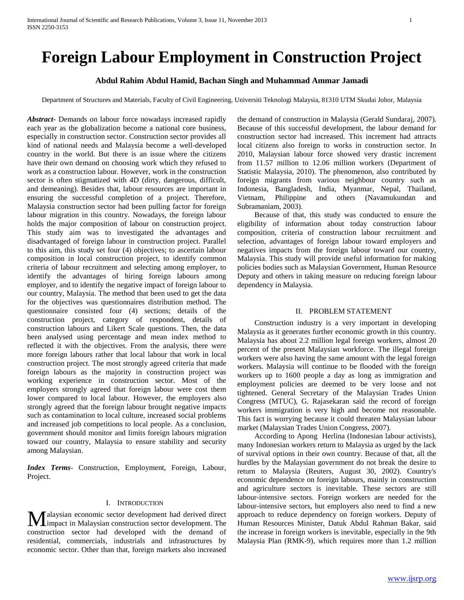# **Foreign Labour Employment in Construction Project**

# **Abdul Rahim Abdul Hamid, Bachan Singh and Muhammad Ammar Jamadi**

Department of Structures and Materials, Faculty of Civil Engineering, Universiti Teknologi Malaysia, 81310 UTM Skudai Johor, Malaysia

*Abstract***-** Demands on labour force nowadays increased rapidly each year as the globalization become a national core business, especially in construction sector. Construction sector provides all kind of national needs and Malaysia become a well-developed country in the world. But there is an issue where the citizens have their own demand on choosing work which they refused to work as a construction labour. However, work in the construction sector is often stigmatized with 4D (dirty, dangerous, difficult, and demeaning). Besides that, labour resources are important in ensuring the successful completion of a project. Therefore, Malaysia construction sector had been pulling factor for foreign labour migration in this country. Nowadays, the foreign labour holds the major composition of labour on construction project. This study aim was to investigated the advantages and disadvantaged of foreign labour in construction project. Parallel to this aim, this study set four (4) objectives; to ascertain labour composition in local construction project, to identify common criteria of labour recruitment and selecting among employer, to identify the advantages of hiring foreign labours among employer, and to identify the negative impact of foreign labour to our country, Malaysia. The method that been used to get the data for the objectives was questionnaires distribution method. The questionnaire consisted four (4) sections; details of the construction project, category of respondent, details of construction labours and Likert Scale questions. Then, the data been analysed using percentage and mean index method to reflected it with the objectives. From the analysis, there were more foreign labours rather that local labour that work in local construction project. The most strongly agreed criteria that made foreign labours as the majority in construction project was working experience in construction sector. Most of the employers strongly agreed that foreign labour were cost them lower compared to local labour. However, the employers also strongly agreed that the foreign labour brought negative impacts such as contamination to local culture, increased social problems and increased job competitions to local people. As a conclusion, government should monitor and limits foreign labours migration toward our country, Malaysia to ensure stability and security among Malaysian.

*Index Terms*- Construction, Employment, Foreign, Labour, Project.

#### I. INTRODUCTION

alaysian economic sector development had derived direct **M**alaysian economic sector development had derived direct impact in Malaysian construction sector development. The construction sector had developed with the demand of residential, commercials, industrials and infrastructures by economic sector. Other than that, foreign markets also increased

the demand of construction in Malaysia (Gerald Sundaraj, 2007). Because of this successful development, the labour demand for construction sector had increased. This increment had attracts local citizens also foreign to works in construction sector. In 2010, Malaysian labour force showed very drastic increment from 11.57 million to 12.06 million workers (Department of Statistic Malaysia, 2010). The phenomenon, also contributed by foreign migrants from various neighbour country such as Indonesia, Bangladesh, India, Myanmar, Nepal, Thailand, Vietnam, Philippine and others (Navamukundan and Subramaniam, 2003).

 Because of that, this study was conducted to ensure the eligibility of information about today construction labour composition, criteria of construction labour recruitment and selection, advantages of foreign labour toward employers and negatives impacts from the foreign labour toward our country, Malaysia. This study will provide useful information for making policies bodies such as Malaysian Government, Human Resource Deputy and others in taking measure on reducing foreign labour dependency in Malaysia.

#### II. PROBLEM STATEMENT

 Construction industry is a very important in developing Malaysia as it generates further economic growth in this country. Malaysia has about 2.2 million legal foreign workers, almost 20 percent of the present Malaysian workforce. The illegal foreign workers were also having the same amount with the legal foreign workers. Malaysia will continue to be flooded with the foreign workers up to 1600 people a day as long as immigration and employment policies are deemed to be very loose and not tightened. General Secretary of the Malaysian Trades Union Congress (MTUC), G. Rajasekaran said the record of foreign workers immigration is very high and become not reasonable. This fact is worrying because it could threaten Malaysian labour market (Malaysian Trades Union Congress, 2007).

 According to Apong Herlina (Indonesian labour activists), many Indonesian workers return to Malaysia as urged by the lack of survival options in their own country. Because of that, all the hurdles by the Malaysian government do not break the desire to return to Malaysia (Reuters, August 30, 2002). Country's economic dependence on foreign labours, mainly in construction and agriculture sectors is inevitable. These sectors are still labour-intensive sectors. Foreign workers are needed for the labour-intensive sectors, but employers also need to find a new approach to reduce dependency on foreign workers. Deputy of Human Resources Minister, Datuk Abdul Rahman Bakar, said the increase in foreign workers is inevitable, especially in the 9th Malaysia Plan (RMK-9), which requires more than 1.2 million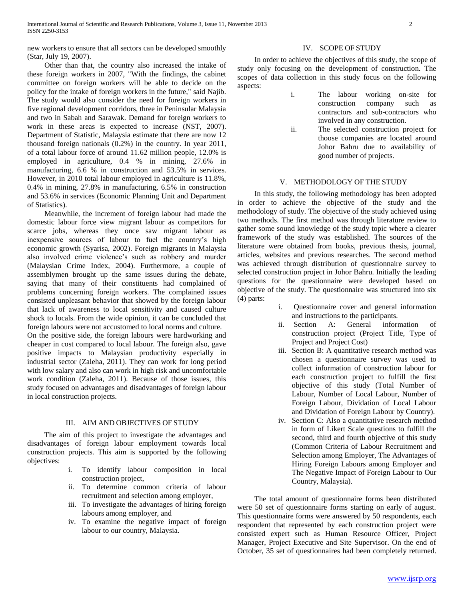new workers to ensure that all sectors can be developed smoothly (Star, July 19, 2007).

 Other than that, the country also increased the intake of these foreign workers in 2007, "With the findings, the cabinet committee on foreign workers will be able to decide on the policy for the intake of foreign workers in the future," said Najib. The study would also consider the need for foreign workers in five regional development corridors, three in Peninsular Malaysia and two in Sabah and Sarawak. Demand for foreign workers to work in these areas is expected to increase (NST, 2007). Department of Statistic, Malaysia estimate that there are now 12 thousand foreign nationals (0.2%) in the country. In year 2011, of a total labour force of around 11.62 million people, 12.0% is employed in agriculture, 0.4 % in mining, 27.6% in manufacturing, 6.6 % in construction and 53.5% in services. However, in 2010 total labour employed in agriculture is 11.8%, 0.4% in mining, 27.8% in manufacturing, 6.5% in construction and 53.6% in services (Economic Planning Unit and Department of Statistics).

 Meanwhile, the increment of foreign labour had made the domestic labour force view migrant labour as competitors for scarce jobs, whereas they once saw migrant labour as inexpensive sources of labour to fuel the country's high economic growth (Syarisa, 2002). Foreign migrants in Malaysia also involved crime violence's such as robbery and murder (Malaysian Crime Index, 2004). Furthermore, a couple of assemblymen brought up the same issues during the debate, saying that many of their constituents had complained of problems concerning foreign workers. The complained issues consisted unpleasant behavior that showed by the foreign labour that lack of awareness to local sensitivity and caused culture shock to locals. From the wide opinion, it can be concluded that foreign labours were not accustomed to local norms and culture.

On the positive side, the foreign labours were hardworking and cheaper in cost compared to local labour. The foreign also, gave positive impacts to Malaysian productivity especially in industrial sector (Zaleha, 2011). They can work for long period with low salary and also can work in high risk and uncomfortable work condition (Zaleha, 2011). Because of those issues, this study focused on advantages and disadvantages of foreign labour in local construction projects.

## III. AIM AND OBJECTIVES OF STUDY

 The aim of this project to investigate the advantages and disadvantages of foreign labour employment towards local construction projects. This aim is supported by the following objectives:

- i. To identify labour composition in local construction project,
- ii. To determine common criteria of labour recruitment and selection among employer,
- iii. To investigate the advantages of hiring foreign labours among employer, and
- iv. To examine the negative impact of foreign labour to our country, Malaysia.

## IV. SCOPE OF STUDY

 In order to achieve the objectives of this study, the scope of study only focusing on the development of construction. The scopes of data collection in this study focus on the following aspects:

- i. The labour working on-site for construction company such as contractors and sub-contractors who involved in any construction.
- ii. The selected construction project for thoose companies are located around Johor Bahru due to availability of good number of projects.

#### V. METHODOLOGY OF THE STUDY

 In this study, the following methodology has been adopted in order to achieve the objective of the study and the methodology of study. The objective of the study achieved using two methods. The first method was through literature review to gather some sound knowledge of the study topic where a clearer framework of the study was established. The sources of the literature were obtained from books, previous thesis, journal, articles, websites and previous researches. The second method was achieved through distribution of questionnaire survey to selected construction project in Johor Bahru. Initially the leading questions for the questionnaire were developed based on objective of the study. The questionnaire was structured into six (4) parts:

- i. Questionnaire cover and general information and instructions to the participants.
- ii. Section A: General information of construction project (Project Title, Type of Project and Project Cost)
- iii. Section B: A quantitative research method was chosen a questionnaire survey was used to collect information of construction labour for each construction project to fulfill the first objective of this study (Total Number of Labour, Number of Local Labour, Number of Foreign Labour, Dividation of Local Labour and Dividation of Foreign Labour by Country).
- iv. Section C: Also a quantitative research method in form of Likert Scale questions to fulfill the second, third and fourth objective of this study (Common Criteria of Labour Recruitment and Selection among Employer, The Advantages of Hiring Foreign Labours among Employer and The Negative Impact of Foreign Labour to Our Country, Malaysia).

 The total amount of questionnaire forms been distributed were 50 set of questionnaire forms starting on early of august. This questionnaire forms were answered by 50 respondents, each respondent that represented by each construction project were consisted expert such as Human Resource Officer, Project Manager, Project Executive and Site Supervisor. On the end of October, 35 set of questionnaires had been completely returned.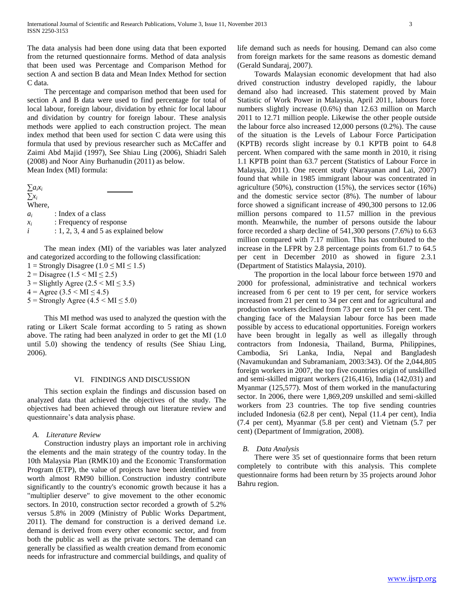The data analysis had been done using data that been exported from the returned questionnaire forms. Method of data analysis that been used was Percentage and Comparison Method for section A and section B data and Mean Index Method for section C data.

 The percentage and comparison method that been used for section A and B data were used to find percentage for total of local labour, foreign labour, dividation by ethnic for local labour and dividation by country for foreign labour. These analysis methods were applied to each construction project. The mean index method that been used for section C data were using this formula that used by previous researcher such as McCaffer and Zaimi Abd Majid (1997), See Shiau Ling (2006), Shiadri Saleh (2008) and Noor Ainy Burhanudin (2011) as below. Mean Index (MI) formula:

 $∑a<sub>i</sub>x<sub>i</sub>$ ∑*x<sup>i</sup>* Where, *ai* : Index of a class *xi* : Frequency of response  $i$  : 1, 2, 3, 4 and 5 as explained below

 The mean index (MI) of the variables was later analyzed and categorized according to the following classification:

1 = Strongly Disagree (1.0  $\leq$  MI  $\leq$  1.5)

- $2 = \text{Disagree} (1.5 \leq \text{MI} \leq 2.5)$
- $3 =$  Slightly Agree (2.5 < MI  $\leq$  3.5)
- $4 = \text{Agree} (3.5 \leq \text{MI} \leq 4.5)$
- $5 =$  Strongly Agree (4.5 < MI  $\leq$  5.0)

 This MI method was used to analyzed the question with the rating or Likert Scale format according to 5 rating as shown above. The rating had been analyzed in order to get the MI (1.0 until 5.0) showing the tendency of results (See Shiau Ling, 2006).

## VI. FINDINGS AND DISCUSSION

 This section explain the findings and discussion based on analyzed data that achieved the objectives of the study. The objectives had been achieved through out literature review and questionnaire's data analysis phase.

## *A. Literature Review*

 Construction industry plays an important role in archiving the elements and the main strategy of the country today. In the 10th Malaysia Plan (RMK10) and the Economic Transformation Program (ETP), the value of projects have been identified were worth almost RM90 billion. Construction industry contribute significantly to the country's economic growth because it has a "multiplier deserve" to give movement to the other economic sectors. In 2010, construction sector recorded a growth of 5.2% versus 5.8% in 2009 (Ministry of Public Works Department, 2011). The demand for construction is a derived demand i.e. demand is derived from every other economic sector, and from both the public as well as the private sectors. The demand can generally be classified as wealth creation demand from economic needs for infrastructure and commercial buildings, and quality of life demand such as needs for housing. Demand can also come from foreign markets for the same reasons as domestic demand (Gerald Sundaraj, 2007).

 Towards Malaysian economic development that had also drived construction industry developed rapidly, the labour demand also had increased. This statement proved by Main Statistic of Work Power in Malaysia, April 2011, labours force numbers slightly increase (0.6%) than 12.63 million on March 2011 to 12.71 million people. Likewise the other people outside the labour force also increased 12,000 persons (0.2%). The cause of the situation is the Levels of Labour Force Participation (KPTB) records slight increase by 0.1 KPTB point to 64.8 percent. When compared with the same month in 2010, it rising 1.1 KPTB point than 63.7 percent (Statistics of Labour Force in Malaysia, 2011). One recent study (Narayanan and Lai, 2007) found that while in 1985 immigrant labour was concentrated in agriculture (50%), construction (15%), the services sector (16%) and the domestic service sector (8%). The number of labour force showed a significant increase of 490,300 persons to 12.06 million persons compared to 11.57 million in the previous month. Meanwhile, the number of persons outside the labour force recorded a sharp decline of 541,300 persons (7.6%) to 6.63 million compared with 7.17 million. This has contributed to the increase in the LFPR by 2.8 percentage points from 61.7 to 64.5 per cent in December 2010 as showed in figure 2.3.1 (Department of Statistics Malaysia, 2010).

 The proportion in the local labour force between 1970 and 2000 for professional, administrative and technical workers increased from 6 per cent to 19 per cent, for service workers increased from 21 per cent to 34 per cent and for agricultural and production workers declined from 73 per cent to 51 per cent. The changing face of the Malaysian labour force has been made possible by access to educational opportunities. Foreign workers have been brought in legally as well as illegally through contractors from Indonesia, Thailand, Burma, Philippines, Cambodia, Sri Lanka, India, Nepal and Bangladesh (Navamukundan and Subramaniam, 2003:343). Of the 2,044,805 foreign workers in 2007, the top five countries origin of unskilled and semi-skilled migrant workers (216,416), India (142,031) and Myanmar (125,577). Most of them worked in the manufacturing sector. In 2006, there were 1,869,209 unskilled and semi-skilled workers from 23 countries. The top five sending countries included Indonesia (62.8 per cent), Nepal (11.4 per cent), India (7.4 per cent), Myanmar (5.8 per cent) and Vietnam (5.7 per cent) (Department of Immigration, 2008).

## *B. Data Analysis*

 There were 35 set of questionnaire forms that been return completely to contribute with this analysis. This complete questionnaire forms had been return by 35 projects around Johor Bahru region.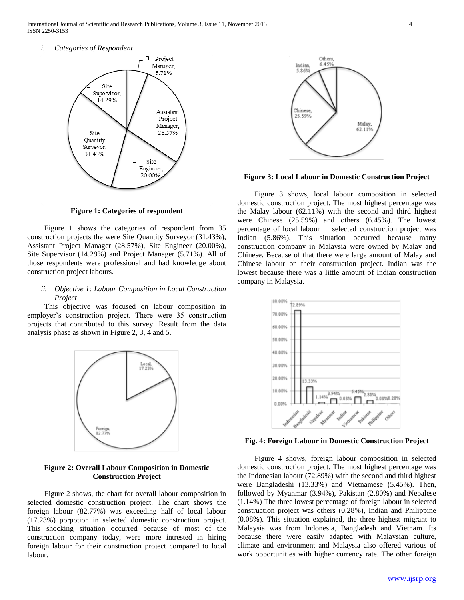International Journal of Scientific and Research Publications, Volume 3, Issue 11, November 2013 4 ISSN 2250-3153

*i. Categories of Respondent*



**Figure 1: Categories of respondent**

 Figure 1 shows the categories of respondent from 35 construction projects the were Site Quantity Surveyor (31.43%), Assistant Project Manager (28.57%), Site Engineer (20.00%), Site Supervisor (14.29%) and Project Manager (5.71%). All of those respondents were professional and had knowledge about construction project labours.

## *ii. Objective 1: Labour Composition in Local Construction Project*

 This objective was focused on labour composition in employer's construction project. There were 35 construction projects that contributed to this survey. Result from the data analysis phase as shown in Figure 2, 3, 4 and 5.



#### **Figure 2: Overall Labour Composition in Domestic Construction Project**

 Figure 2 shows, the chart for overall labour composition in selected domestic construction project. The chart shows the foreign labour (82.77%) was exceeding half of local labour (17.23%) porpotion in selected domestic construction project. This shocking situation occurred because of most of the construction company today, were more intrested in hiring foreign labour for their construction project compared to local labour.



**Figure 3: Local Labour in Domestic Construction Project**

 Figure 3 shows, local labour composition in selected domestic construction project. The most highest percentage was the Malay labour (62.11%) with the second and third highest were Chinese (25.59%) and others (6.45%). The lowest percentage of local labour in selected construction project was Indian (5.86%). This situation occurred because many construction company in Malaysia were owned by Malay and Chinese. Because of that there were large amount of Malay and Chinese labour on their construction project. Indian was the lowest because there was a little amount of Indian construction company in Malaysia.



**Fig. 4: Foreign Labour in Domestic Construction Project**

 Figure 4 shows, foreign labour composition in selected domestic construction project. The most highest percentage was the Indonesian labour (72.89%) with the second and third highest were Bangladeshi (13.33%) and Vietnamese (5.45%). Then, followed by Myanmar (3.94%), Pakistan (2.80%) and Nepalese (1.14%) The three lowest percentage of foreign labour in selected construction project was others (0.28%), Indian and Philippine (0.08%). This situation explained, the three highest migrant to Malaysia was from Indonesia, Bangladesh and Vietnam. Its because there were easily adapted with Malaysian culture, climate and environment and Malaysia also offered various of work opportunities with higher currency rate. The other foreign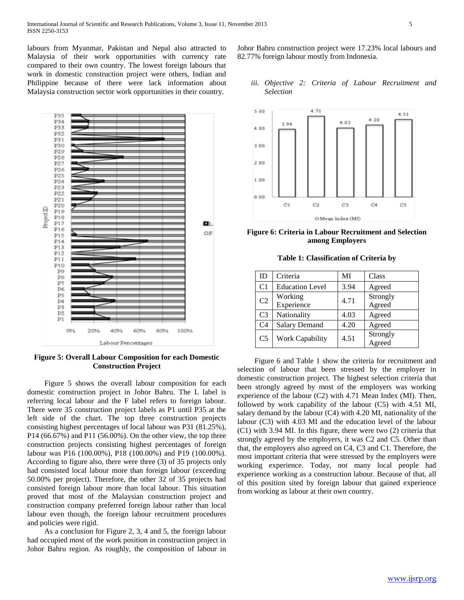labours from Myanmar, Pakistan and Nepal also attracted to Malaysia of their work opportunities with currency rate compared to their own country. The lowest foreign labours that work in domestic construction project were others, Indian and Philippine because of there were lack information about Malaysia construction sector work opportunities in their country.



**Figure 5: Overall Labour Composition for each Domestic Construction Project**

 Figure 5 shows the overall labour composition for each domestic construction project in Johor Bahru. The L label is referring local labour and the F label refers to foreign labour. There were 35 construction project labels as P1 until P35 at the left side of the chart. The top three construction projects consisting highest percentages of local labour was P31 (81.25%), P14 (66.67%) and P11 (56.00%). On the other view, the top three construction projects consisting highest percentages of foreign labour was P16 (100.00%), P18 (100.00%) and P19 (100.00%). According to figure also, there were three (3) of 35 projects only had consisted local labour more than foreign labour (exceeding 50.00% per project). Therefore, the other 32 of 35 projects had consisted foreign labour more than local labour. This situation proved that most of the Malaysian construction project and construction company preferred foreign labour rather than local labour even though, the foreign labour recruitment procedures and policies were rigid.

 As a conclusion for Figure 2, 3, 4 and 5, the foreign labour had occupied most of the work position in construction project in Johor Bahru region. As roughly, the composition of labour in

Johor Bahru construction project were 17.23% local labours and 82.77% foreign labour mostly from Indonesia.

# *iii. Objective 2: Criteria of Labour Recruitment and Selection*



**Figure 6: Criteria in Labour Recruitment and Selection among Employers**

**Table 1: Classification of Criteria by**

| ID             | Criteria               | MI   | Class              |
|----------------|------------------------|------|--------------------|
| C <sub>1</sub> | <b>Education Level</b> | 3.94 | Agreed             |
| C <sub>2</sub> | Working<br>Experience  | 4.71 | Strongly<br>Agreed |
| C <sub>3</sub> | Nationality            | 4.03 | Agreed             |
| C <sub>4</sub> | <b>Salary Demand</b>   | 4.20 | Agreed             |
| C <sub>5</sub> | <b>Work Capability</b> | 4.51 | Strongly<br>Agreed |

 Figure 6 and Table 1 show the criteria for recruitment and selection of labour that been stressed by the employer in domestic construction project. The highest selection criteria that been strongly agreed by most of the employers was working experience of the labour (C2) with 4.71 Mean Index (MI). Then, followed by work capability of the labour (C5) with 4.51 MI, salary demand by the labour (C4) with 4.20 MI, nationality of the labour (C3) with 4.03 MI and the education level of the labour (C1) with 3.94 MI. In this figure, there were two (2) criteria that strongly agreed by the employers, it was C2 and C5. Other than that, the employers also agreed on C4, C3 and C1. Therefore, the most important criteria that were stressed by the employers were working experience. Today, not many local people had experience working as a construction labour. Because of that, all of this position sited by foreign labour that gained experience from working as labour at their own country.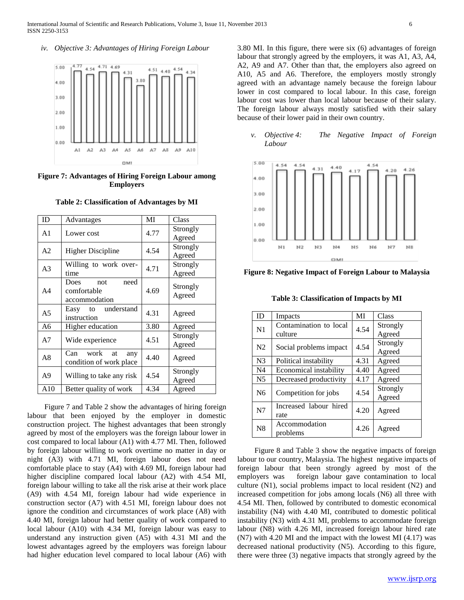*iv. Objective 3: Advantages of Hiring Foreign Labour*



**Figure 7: Advantages of Hiring Foreign Labour among Employers**

**Table 2: Classification of Advantages by MI**

| ID             | Advantages                                          | MI   | Class              |
|----------------|-----------------------------------------------------|------|--------------------|
| A <sub>1</sub> | Lower cost                                          | 4.77 | Strongly<br>Agreed |
| A <sub>2</sub> | <b>Higher Discipline</b>                            | 4.54 | Strongly<br>Agreed |
| A <sub>3</sub> | Willing to work over-<br>time                       | 4.71 | Strongly<br>Agreed |
| A <sub>4</sub> | need<br>Does<br>not<br>comfortable<br>accommodation | 4.69 | Strongly<br>Agreed |
| A <sub>5</sub> | understand<br>Easy to<br>instruction                | 4.31 | Agreed             |
| A6             | Higher education                                    | 3.80 | Agreed             |
| A7             | Wide experience                                     | 4.51 | Strongly<br>Agreed |
| A8             | work<br>Can<br>at<br>any<br>condition of work place | 4.40 | Agreed             |
| A <sup>9</sup> | Willing to take any risk                            | 4.54 | Strongly<br>Agreed |
| A10            | Better quality of work                              | 4.34 | Agreed             |

 Figure 7 and Table 2 show the advantages of hiring foreign labour that been enjoyed by the employer in domestic construction project. The highest advantages that been strongly agreed by most of the employers was the foreign labour lower in cost compared to local labour (A1) with 4.77 MI. Then, followed by foreign labour willing to work overtime no matter in day or night (A3) with 4.71 MI, foreign labour does not need comfortable place to stay (A4) with 4.69 MI, foreign labour had higher discipline compared local labour (A2) with 4.54 MI, foreign labour willing to take all the risk arise at their work place (A9) with 4.54 MI, foreign labour had wide experience in construction sector (A7) with 4.51 MI, foreign labour does not ignore the condition and circumstances of work place (A8) with 4.40 MI, foreign labour had better quality of work compared to local labour (A10) with 4.34 MI, foreign labour was easy to understand any instruction given (A5) with 4.31 MI and the lowest advantages agreed by the employers was foreign labour had higher education level compared to local labour (A6) with 3.80 MI. In this figure, there were six (6) advantages of foreign labour that strongly agreed by the employers, it was A1, A3, A4, A2, A9 and A7. Other than that, the employers also agreed on A10, A5 and A6. Therefore, the employers mostly strongly agreed with an advantage namely because the foreign labour lower in cost compared to local labour. In this case, foreign labour cost was lower than local labour because of their salary. The foreign labour always mostly satisfied with their salary because of their lower paid in their own country.

*v. Objective 4: The Negative Impact of Foreign Labour*



**Figure 8: Negative Impact of Foreign Labour to Malaysia**

**Table 3: Classification of Impacts by MI**

| ID             | Impacts                | MI   | Class    |
|----------------|------------------------|------|----------|
| N <sub>1</sub> | Contamination to local |      | Strongly |
|                | culture                | 4.54 | Agreed   |
| N <sub>2</sub> | Social problems impact | 4.54 | Strongly |
|                |                        |      | Agreed   |
| N <sub>3</sub> | Political instability  | 4.31 | Agreed   |
| N4             | Economical instability | 4.40 | Agreed   |
| N <sub>5</sub> | Decreased productivity | 4.17 | Agreed   |
| N <sub>6</sub> | Competition for jobs   | 4.54 | Strongly |
|                |                        |      | Agreed   |
| N7             | Increased labour hired |      |          |
|                | rate                   | 4.20 | Agreed   |
| N8             | Accommodation          | 4.26 | Agreed   |
|                | problems               |      |          |

 Figure 8 and Table 3 show the negative impacts of foreign labour to our country, Malaysia. The highest negative impacts of foreign labour that been strongly agreed by most of the employers was foreign labour gave contamination to local culture (N1), social problems impact to local resident (N2) and increased competition for jobs among locals (N6) all three with 4.54 MI. Then, followed by contributed to domestic economical instability (N4) with 4.40 MI, contributed to domestic political instability (N3) with 4.31 MI, problems to accommodate foreign labour (N8) with 4.26 MI, increased foreign labour hired rate (N7) with 4.20 MI and the impact with the lowest MI (4.17) was decreased national productivity (N5). According to this figure, there were three (3) negative impacts that strongly agreed by the